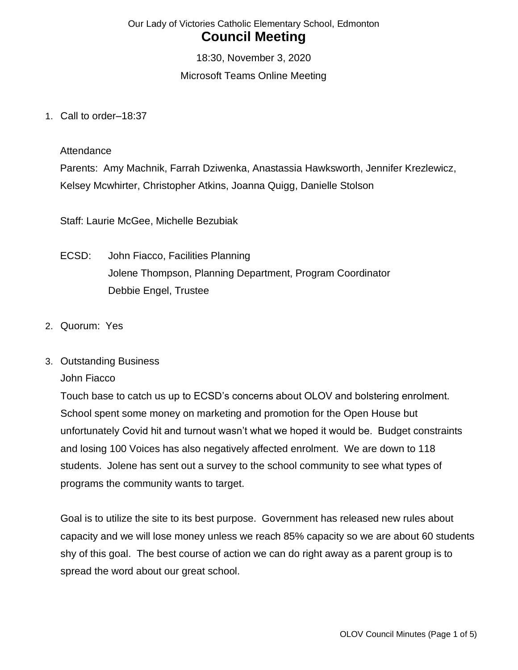18:30, November 3, 2020 Microsoft Teams Online Meeting

1. Call to order–18:37

**Attendance** 

Parents: Amy Machnik, Farrah Dziwenka, Anastassia Hawksworth, Jennifer Krezlewicz, Kelsey Mcwhirter, Christopher Atkins, Joanna Quigg, Danielle Stolson

Staff: Laurie McGee, Michelle Bezubiak

- ECSD: John Fiacco, Facilities Planning Jolene Thompson, Planning Department, Program Coordinator Debbie Engel, Trustee
- 2. Quorum: Yes
- 3. Outstanding Business

John Fiacco

Touch base to catch us up to ECSD's concerns about OLOV and bolstering enrolment. School spent some money on marketing and promotion for the Open House but unfortunately Covid hit and turnout wasn't what we hoped it would be. Budget constraints and losing 100 Voices has also negatively affected enrolment. We are down to 118 students. Jolene has sent out a survey to the school community to see what types of programs the community wants to target.

Goal is to utilize the site to its best purpose. Government has released new rules about capacity and we will lose money unless we reach 85% capacity so we are about 60 students shy of this goal. The best course of action we can do right away as a parent group is to spread the word about our great school.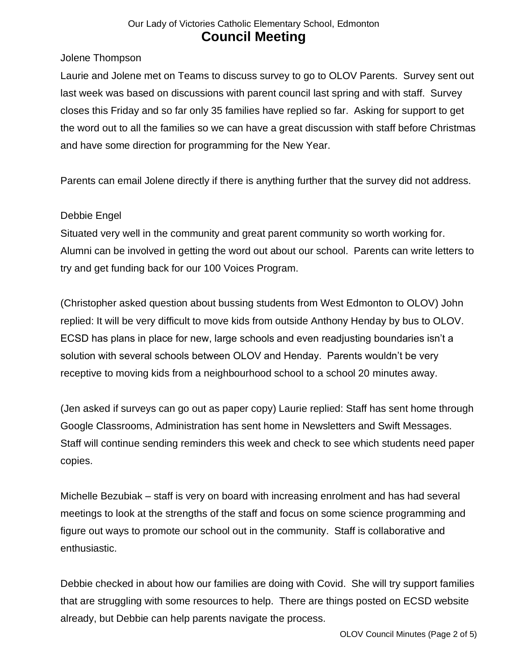Jolene Thompson

Laurie and Jolene met on Teams to discuss survey to go to OLOV Parents. Survey sent out last week was based on discussions with parent council last spring and with staff. Survey closes this Friday and so far only 35 families have replied so far. Asking for support to get the word out to all the families so we can have a great discussion with staff before Christmas and have some direction for programming for the New Year.

Parents can email Jolene directly if there is anything further that the survey did not address.

#### Debbie Engel

Situated very well in the community and great parent community so worth working for. Alumni can be involved in getting the word out about our school. Parents can write letters to try and get funding back for our 100 Voices Program.

(Christopher asked question about bussing students from West Edmonton to OLOV) John replied: It will be very difficult to move kids from outside Anthony Henday by bus to OLOV. ECSD has plans in place for new, large schools and even readjusting boundaries isn't a solution with several schools between OLOV and Henday. Parents wouldn't be very receptive to moving kids from a neighbourhood school to a school 20 minutes away.

(Jen asked if surveys can go out as paper copy) Laurie replied: Staff has sent home through Google Classrooms, Administration has sent home in Newsletters and Swift Messages. Staff will continue sending reminders this week and check to see which students need paper copies.

Michelle Bezubiak – staff is very on board with increasing enrolment and has had several meetings to look at the strengths of the staff and focus on some science programming and figure out ways to promote our school out in the community. Staff is collaborative and enthusiastic.

Debbie checked in about how our families are doing with Covid. She will try support families that are struggling with some resources to help. There are things posted on ECSD website already, but Debbie can help parents navigate the process.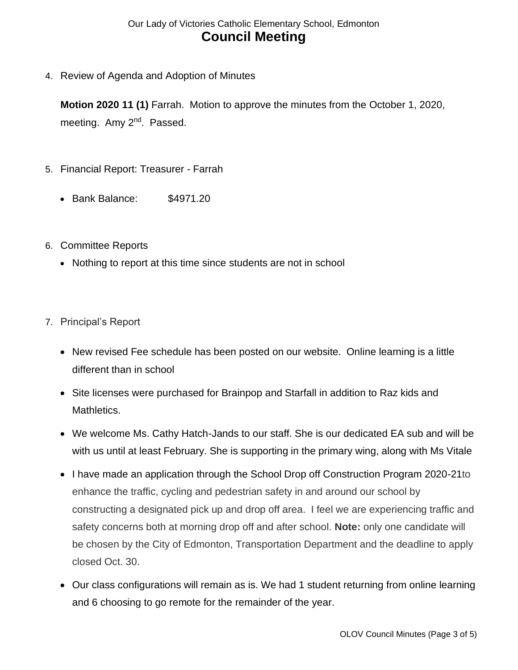4. Review of Agenda and Adoption of Minutes

**Motion 2020 11 (1)** Farrah. Motion to approve the minutes from the October 1, 2020, meeting. Amy 2<sup>nd</sup>. Passed.

- 5. Financial Report: Treasurer Farrah
	- Bank Balance: \$4971.20
- 6. Committee Reports
	- Nothing to report at this time since students are not in school
- 7. Principal's Report
	- New revised Fee schedule has been posted on our website. Online learning is a little different than in school
	- Site licenses were purchased for Brainpop and Starfall in addition to Raz kids and Mathletics.
	- We welcome Ms. Cathy Hatch-Jands to our staff. She is our dedicated EA sub and will be with us until at least February. She is supporting in the primary wing, along with Ms Vitale
	- I have made an application through the School Drop off Construction Program 2020-21to enhance the traffic, cycling and pedestrian safety in and around our school by constructing a designated pick up and drop off area. I feel we are experiencing traffic and safety concerns both at morning drop off and after school. **Note:** only one candidate will be chosen by the City of Edmonton, Transportation Department and the deadline to apply closed Oct. 30.
	- Our class configurations will remain as is. We had 1 student returning from online learning and 6 choosing to go remote for the remainder of the year.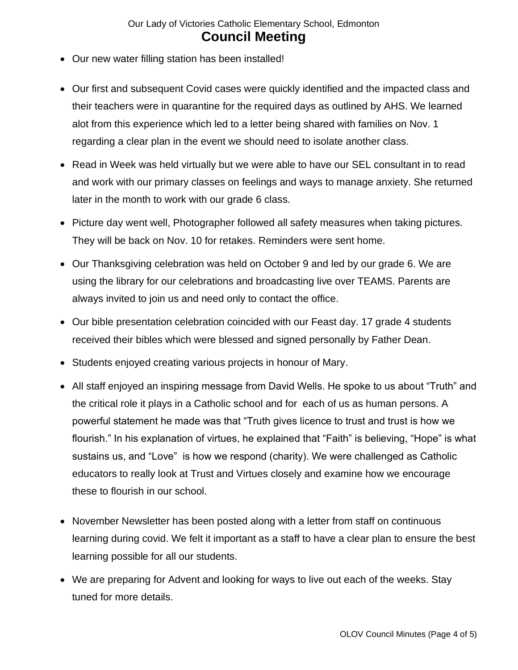- Our new water filling station has been installed!
- Our first and subsequent Covid cases were quickly identified and the impacted class and their teachers were in quarantine for the required days as outlined by AHS. We learned alot from this experience which led to a letter being shared with families on Nov. 1 regarding a clear plan in the event we should need to isolate another class.
- Read in Week was held virtually but we were able to have our SEL consultant in to read and work with our primary classes on feelings and ways to manage anxiety. She returned later in the month to work with our grade 6 class.
- Picture day went well, Photographer followed all safety measures when taking pictures. They will be back on Nov. 10 for retakes. Reminders were sent home.
- Our Thanksgiving celebration was held on October 9 and led by our grade 6. We are using the library for our celebrations and broadcasting live over TEAMS. Parents are always invited to join us and need only to contact the office.
- Our bible presentation celebration coincided with our Feast day. 17 grade 4 students received their bibles which were blessed and signed personally by Father Dean.
- Students enjoyed creating various projects in honour of Mary.
- All staff enjoyed an inspiring message from David Wells. He spoke to us about "Truth" and the critical role it plays in a Catholic school and for each of us as human persons. A powerful statement he made was that "Truth gives licence to trust and trust is how we flourish." In his explanation of virtues, he explained that "Faith" is believing, "Hope" is what sustains us, and "Love" is how we respond (charity). We were challenged as Catholic educators to really look at Trust and Virtues closely and examine how we encourage these to flourish in our school.
- November Newsletter has been posted along with a letter from staff on continuous learning during covid. We felt it important as a staff to have a clear plan to ensure the best learning possible for all our students.
- We are preparing for Advent and looking for ways to live out each of the weeks. Stay tuned for more details.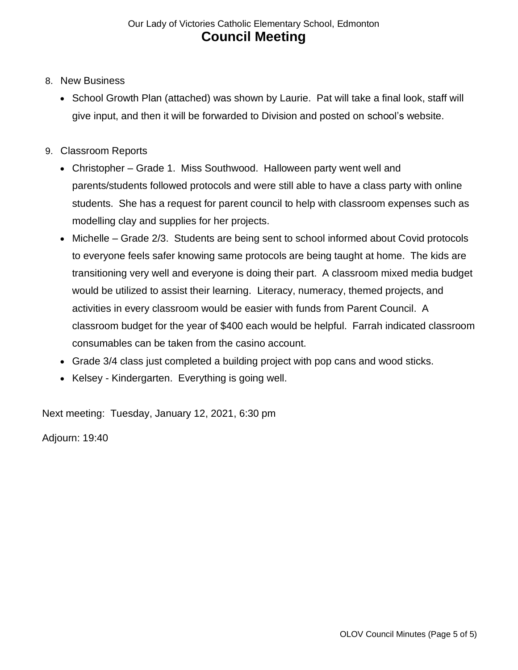- 8. New Business
	- School Growth Plan (attached) was shown by Laurie. Pat will take a final look, staff will give input, and then it will be forwarded to Division and posted on school's website.
- 9. Classroom Reports
	- Christopher Grade 1. Miss Southwood. Halloween party went well and parents/students followed protocols and were still able to have a class party with online students. She has a request for parent council to help with classroom expenses such as modelling clay and supplies for her projects.
	- Michelle Grade 2/3. Students are being sent to school informed about Covid protocols to everyone feels safer knowing same protocols are being taught at home. The kids are transitioning very well and everyone is doing their part. A classroom mixed media budget would be utilized to assist their learning. Literacy, numeracy, themed projects, and activities in every classroom would be easier with funds from Parent Council. A classroom budget for the year of \$400 each would be helpful. Farrah indicated classroom consumables can be taken from the casino account.
	- Grade 3/4 class just completed a building project with pop cans and wood sticks.
	- Kelsey Kindergarten. Everything is going well.

Next meeting: Tuesday, January 12, 2021, 6:30 pm

Adjourn: 19:40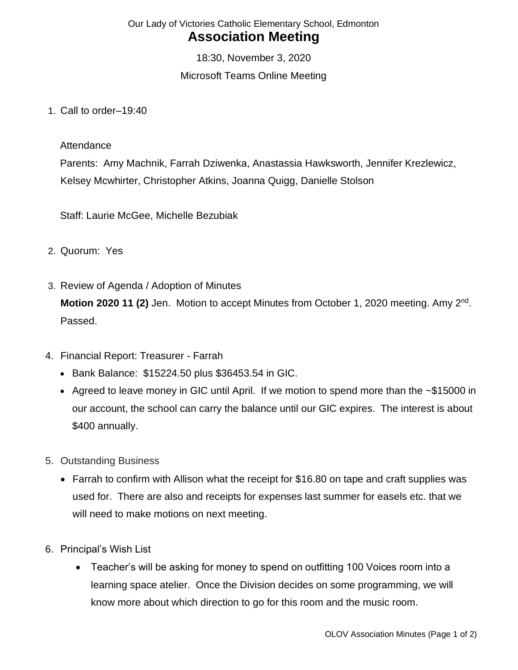18:30, November 3, 2020 Microsoft Teams Online Meeting

1. Call to order–19:40

#### **Attendance**

Parents: Amy Machnik, Farrah Dziwenka, Anastassia Hawksworth, Jennifer Krezlewicz, Kelsey Mcwhirter, Christopher Atkins, Joanna Quigg, Danielle Stolson

Staff: Laurie McGee, Michelle Bezubiak

- 2. Quorum: Yes
- 3. Review of Agenda / Adoption of Minutes Motion 2020 11 (2) Jen. Motion to accept Minutes from October 1, 2020 meeting. Amy 2<sup>nd</sup>. Passed.
- 4. Financial Report: Treasurer Farrah
	- Bank Balance: \$15224.50 plus \$36453.54 in GIC.
	- Agreed to leave money in GIC until April. If we motion to spend more than the ~\$15000 in our account, the school can carry the balance until our GIC expires. The interest is about \$400 annually.
- 5. Outstanding Business
	- Farrah to confirm with Allison what the receipt for \$16.80 on tape and craft supplies was used for. There are also and receipts for expenses last summer for easels etc. that we will need to make motions on next meeting.
- 6. Principal's Wish List
	- Teacher's will be asking for money to spend on outfitting 100 Voices room into a learning space atelier. Once the Division decides on some programming, we will know more about which direction to go for this room and the music room.